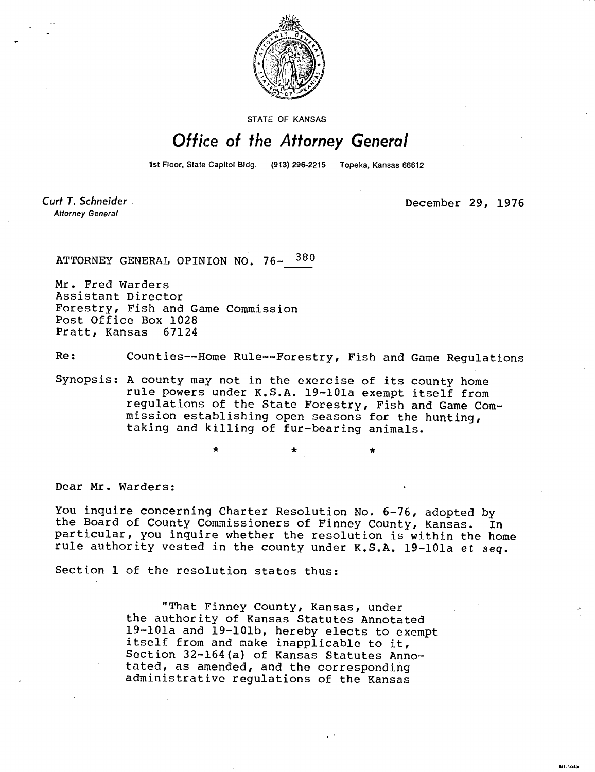

STATE OF KANSAS

## Office of the Attorney General

1st Floor, State Capitol Bldg. (913) 296-2215 Topeka, Kansas 66612

Curt T. Schneider. **Attorney General** 

December 29, 1976

**MT-1043** 

ATTORNEY GENERAL OPINION NO. 76- 380

Mr. Fred Warders Assistant Director Forestry, Fish and Game Commission Post Office Box 1028<br>Pratt, Kansas 67124 Pratt, Kansas

Re: Counties--Home Rule--Forestry, Fish and Game Regulations

Synopsis: A county may not in the exercise of its county home rule powers under K.S.A. 19-101a exempt itself from regulations of the State Forestry, Fish and Game Commission establishing open seasons for the hunting, taking and killing of fur-bearing animals.

÷.

Dear Mr. Warders:

You inquire concerning Charter Resolution No. 6-76, adopted by the Board of County Commissioners of Finney County, Kansas. In particular, you inquire whether the resolution is within the home rule authority vested in the county under K.S.A. 19-101a et seq.

Section 1 of the resolution states thus:

÷

"That Finney County, Kansas, under the authority of Kansas Statutes Annotated 19-101a and 19-101b, hereby elects to exempt itself from and make inapplicable to it, Section 32-164(a) of Kansas Statutes Annotated, as amended, and the corresponding administrative regulations of the Kansas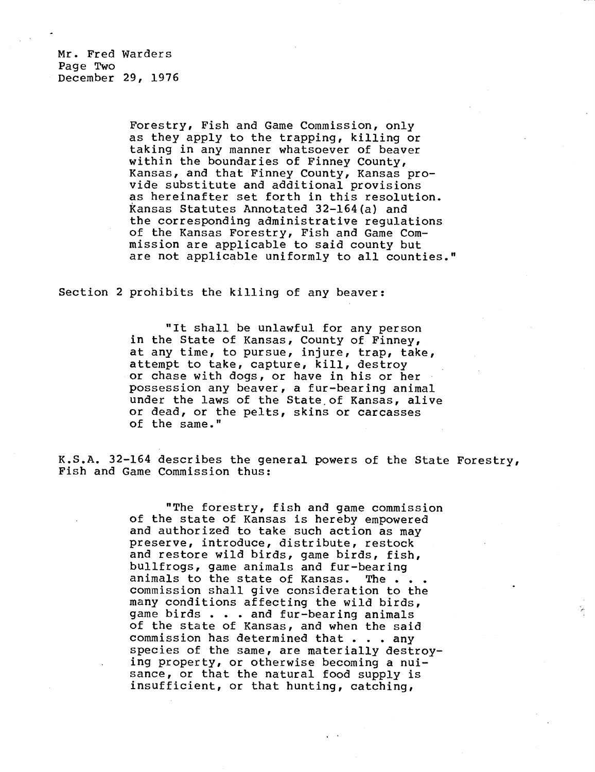Mr. Fred Warders Page Two December 29, 1976

> Forestry, Fish and Game Commission, only as they apply to the trapping, killing or taking in any manner whatsoever of beaver within the boundaries of Finney County, Kansas, and that Finney County, Kansas provide substitute and additional provisions as hereinafter set forth in this resolution. Kansas Statutes Annotated 32-164(a) and the corresponding administrative regulations of the Kansas Forestry, Fish and Game Commission are applicable to said county but are not applicable uniformly to all counties."

Section 2 prohibits the killing of any beaver:

"It shall be unlawful for any person in the State of Kansas, County of Finney, at any time, to pursue, injure, trap, take, attempt to take, capture, kill, destroy or chase with dogs, or have in his or her possession any beaver, a fur-bearing animal under the laws of the State, of Kansas, alive or dead, or the pelts, skins or carcasses of the same."

K.S.A. 32-164 describes the general powers of the State Forestry, Fish and Game Commission thus:

> "The forestry, fish and game commission of the state of Kansas is hereby empowered and authorized to take such action as may preserve, introduce, distribute, restock and restore wild birds, game birds, fish, bullfrogs, game animals and fur-bearing animals to the state of Kansas. The . . . commission shall give consideration to the many conditions affecting the wild birds, game birds . . . and fur-bearing animals of the state of Kansas, and when the said commission has determined that . . . any species of the same, are materially destroying property, or otherwise becoming a nuisance, or that the natural food supply is insufficient, or that hunting, catching,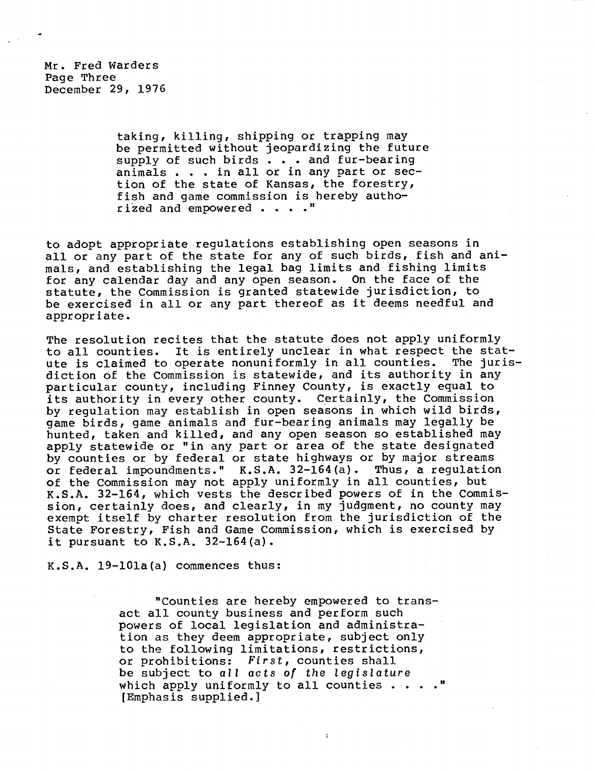Mr. Fred Warders Page Three December 29, 1976

> taking, killing, shipping or trapping may be permitted without jeopardizing the future supply of such birds . . . and fur-bearing animals . . . in all or in any part or section of the state of Kansas, the forestry, fish and game commission is hereby authorized and empowered . . . ."

to adopt appropriate regulations establishing open seasons in all or any part of the state for any of such birds, fish and animals, and establishing the legal bag limits and fishing limits for any calendar day and any open season. On the face of the statute, the Commission is granted statewide jurisdiction, to be exercised in all or any part thereof as it deems needful and appropriate.

The resolution recites that the statute does not apply uniformly to all counties. It is entirely unclear in what respect the stat-<br>ute is claimed to operate nonuniformly in all counties. The jurisute is claimed to operate nonuniformly in all counties. diction of the Commission is statewide, and its authority in any particular county, including Finney County, is exactly equal to its authority in every other county. Certainly, the Commission by regulation may establish in open seasons in which wild birds, game birds, game animals and fur-bearing animals may legally be hunted, taken and killed, and any open season so established may apply statewide or "in any part or area of the state designated by counties or by federal or state highways or by major streams<br>or federal impoundments." K.S.A. 32-164(a). Thus, a requlation or federal impoundments."  $K.S.A. 32-164(a)$ . of the Commission may not apply uniformly in all counties, but K.S.A. 32-164, which vests the described powers of in the Commission, certainly does, and clearly, in my judgment, no county may exempt itself by charter resolution from the jurisdiction of the State Forestry, Fish and Game Commission, which is exercised by it pursuant to  $K.S.A. 32-164(a)$ .

K.S.A. 19-101a(a) commences thus:

"Counties are hereby empowered to transact all county business and perform such powers of local legislation and administration as they deem appropriate, subject only to the following limitations, restrictions, or prohibitions: First, counties shall be subject to all acts of the legislature which apply uniformly to all counties  $\cdots$ ." [Emphasis supplied.]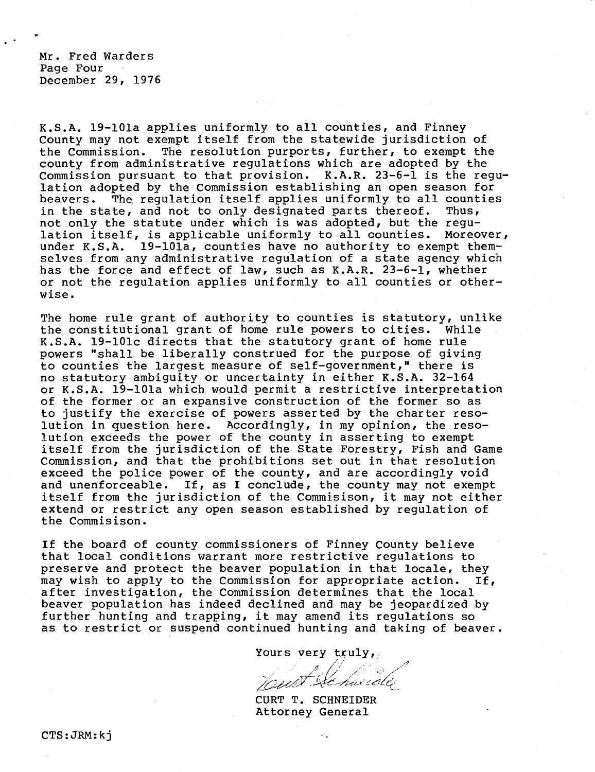Mr. Fred Warders Page Four December 29, 1976

K.S.A. 19-101a applies uniformly to all counties, and Finney County may not exempt itself from the statewide jurisdiction of the Commission. The resolution purports, further, to exempt the county from administrative regulations which are adopted by the Commission pursuant to that provision. K.A.R. 23-6-1 is the regulation adopted by the Commission establishing an open season for beavers. The, regulation itself applies uniformly to all counties in the state, and not to only designated parts thereof. Thus, not only the statute under which is was adopted, but the regulation itself, is applicable uniformly to all counties. Moreover, under K.S.A. 19-101a, counties have no authority to exempt themselves from any administrative regulation of a state agency which has the force and effect of law, such as K.A.R. 23-6-1, whether or not the regulation applies uniformly to all counties or otherwise.

The home rule grant of authority to counties is statutory, unlike the constitutional grant of home rule powers to cities. While K.S.A. 19-101c directs that the statutory grant of home rule powers "shall be liberally construed for the purpose of giving to counties the largest measure of self-government," there is no statutory ambiguity or uncertainty in either K.S.A. 32-164 or K.S.A. 19-101a which would permit a restrictive interpretation of the former or an expansive construction of the former so as to justify the exercise of powers asserted by the charter resolution in question here. Accordingly, in my opinion, the resolution exceeds the power of the county in asserting to exempt itself from the jurisdiction of the State Forestry, Fish and Game Commission, and that the prohibitions set out in that resolution exceed the police power of the county, and are accordingly void and unenforceable. If, as I conclude, the county may not exempt itself from the jurisdiction of the Commisison, it may not either extend or restrict any open season established by regulation of the Commisison.

If the board of county commissioners of Finney County believe that local conditions warrant more restrictive regulations to preserve and protect the beaver population in that locale, they may wish to apply to the Commission for appropriate action. If, after investigation, the Commission determines that the local beaver population has indeed declined and may be jeopardized by further hunting and trapping, it may amend its regulations so as to restrict or suspend continued hunting and taking of beaver.

Yours very  $truly,$ 

wert Se hardle

CURT T. SCHNEIDER Attorney General